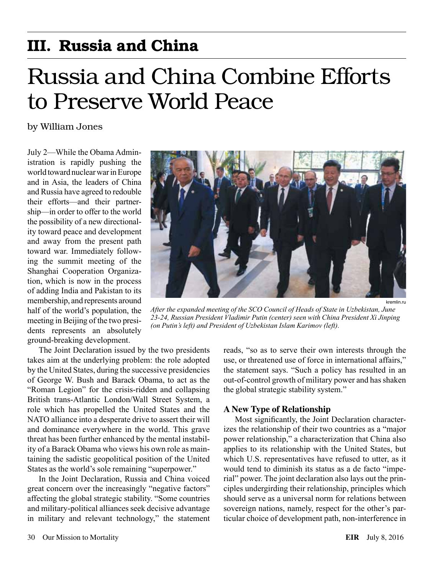## III. Russia and China

# Russia and China Combine Efforts to Preserve World Peace

by William Jones

July 2—While the Obama Administration is rapidly pushing the world toward nuclear war in Europe and in Asia, the leaders of China and Russia have agreed to redouble their efforts—and their partnership—in order to offer to the world the possibility of a new directionality toward peace and development and away from the present path toward war. Immediately following the summit meeting of the Shanghai Cooperation Organization, which is now in the process of adding India and Pakistan to its membership, and represents around half of the world's population, the meeting in Beijing of the two presidents represents an absolutely ground-breaking development.



kremlin.ru

*After the expanded meeting of the SCO Council of Heads of State in Uzbekistan, June 23-24, Russian President Vladimir Putin (center) seen with China President Xi Jinping (on Putin's left) and President of Uzbekistan Islam Karimov (left).*

The Joint Declaration issued by the two presidents takes aim at the underlying problem: the role adopted by the United States, during the successive presidencies of George W. Bush and Barack Obama, to act as the "Roman Legion" for the crisis-ridden and collapsing British trans-Atlantic London/Wall Street System, a role which has propelled the United States and the NATO alliance into a desperate drive to assert their will and dominance everywhere in the world. This grave threat has been further enhanced by the mental instability of a Barack Obama who views his own role as maintaining the sadistic geopolitical position of the United States as the world's sole remaining "superpower."

In the Joint Declaration, Russia and China voiced great concern over the increasingly "negative factors" affecting the global strategic stability. "Some countries and military-political alliances seek decisive advantage in military and relevant technology," the statement reads, "so as to serve their own interests through the use, or threatened use of force in international affairs," the statement says. "Such a policy has resulted in an out-of-control growth of military power and has shaken the global strategic stability system."

#### **A New Type of Relationship**

Most significantly, the Joint Declaration characterizes the relationship of their two countries as a "major power relationship," a characterization that China also applies to its relationship with the United States, but which U.S. representatives have refused to utter, as it would tend to diminish its status as a de facto "imperial" power. The joint declaration also lays out the principles undergirding their relationship, principles which should serve as a universal norm for relations between sovereign nations, namely, respect for the other's particular choice of development path, non-interference in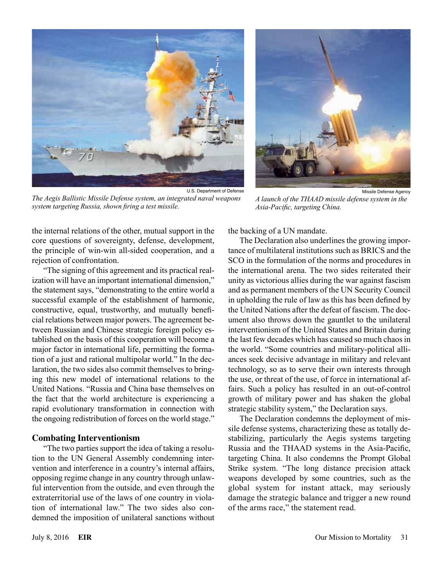

U.S. Department of Defense *The Aegis Ballistic Missile Defense system, an integrated naval weapons system targeting Russia, shown firing a test missile.*



Missile Defense Agency *A launch of the THAAD missile defense system in the Asia-Pacific, targeting China.*

the internal relations of the other, mutual support in the core questions of sovereignty, defense, development, the principle of win-win all-sided cooperation, and a rejection of confrontation.

"The signing of this agreement and its practical realization will have an important international dimension," the statement says, "demonstrating to the entire world a successful example of the establishment of harmonic, constructive, equal, trustworthy, and mutually beneficial relations between major powers. The agreement between Russian and Chinese strategic foreign policy established on the basis of this cooperation will become a major factor in international life, permitting the formation of a just and rational multipolar world." In the declaration, the two sides also commit themselves to bringing this new model of international relations to the United Nations. "Russia and China base themselves on the fact that the world architecture is experiencing a rapid evolutionary transformation in connection with the ongoing redistribution of forces on the world stage."

#### **Combating Interventionism**

"The two parties support the idea of taking a resolution to the UN General Assembly condemning intervention and interference in a country's internal affairs, opposing regime change in any country through unlawful intervention from the outside, and even through the extraterritorial use of the laws of one country in violation of international law." The two sides also condemned the imposition of unilateral sanctions without the backing of a UN mandate.

The Declaration also underlines the growing importance of multilateral institutions such as BRICS and the SCO in the formulation of the norms and procedures in the international arena. The two sides reiterated their unity as victorious allies during the war against fascism and as permanent members of the UN Security Council in upholding the rule of law as this has been defined by the United Nations after the defeat of fascism. The document also throws down the gauntlet to the unilateral interventionism of the United States and Britain during the last few decades which has caused so much chaos in the world. "Some countries and military-political alliances seek decisive advantage in military and relevant technology, so as to serve their own interests through the use, or threat of the use, of force in international affairs. Such a policy has resulted in an out-of-control growth of military power and has shaken the global strategic stability system," the Declaration says.

The Declaration condemns the deployment of missile defense systems, characterizing these as totally destabilizing, particularly the Aegis systems targeting Russia and the THAAD systems in the Asia-Pacific, targeting China. It also condemns the Prompt Global Strike system. "The long distance precision attack weapons developed by some countries, such as the global system for instant attack, may seriously damage the strategic balance and trigger a new round of the arms race," the statement read.